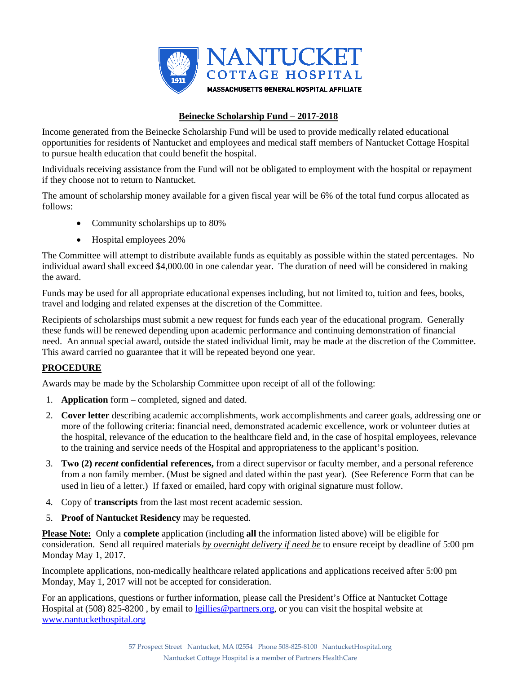

## **Beinecke Scholarship Fund – 2017-2018**

Income generated from the Beinecke Scholarship Fund will be used to provide medically related educational opportunities for residents of Nantucket and employees and medical staff members of Nantucket Cottage Hospital to pursue health education that could benefit the hospital.

Individuals receiving assistance from the Fund will not be obligated to employment with the hospital or repayment if they choose not to return to Nantucket.

The amount of scholarship money available for a given fiscal year will be 6% of the total fund corpus allocated as follows:

- Community scholarships up to 80%
- Hospital employees 20%

The Committee will attempt to distribute available funds as equitably as possible within the stated percentages. No individual award shall exceed \$4,000.00 in one calendar year. The duration of need will be considered in making the award.

Funds may be used for all appropriate educational expenses including, but not limited to, tuition and fees, books, travel and lodging and related expenses at the discretion of the Committee.

Recipients of scholarships must submit a new request for funds each year of the educational program. Generally these funds will be renewed depending upon academic performance and continuing demonstration of financial need. An annual special award, outside the stated individual limit, may be made at the discretion of the Committee. This award carried no guarantee that it will be repeated beyond one year.

# **PROCEDURE**

Awards may be made by the Scholarship Committee upon receipt of all of the following:

- 1. **Application** form completed, signed and dated.
- 2. **Cover letter** describing academic accomplishments, work accomplishments and career goals, addressing one or more of the following criteria: financial need, demonstrated academic excellence, work or volunteer duties at the hospital, relevance of the education to the healthcare field and, in the case of hospital employees, relevance to the training and service needs of the Hospital and appropriateness to the applicant's position.
- 3. **Two (2)** *recent* **confidential references,** from a direct supervisor or faculty member, and a personal reference from a non family member. (Must be signed and dated within the past year). (See Reference Form that can be used in lieu of a letter.) If faxed or emailed, hard copy with original signature must follow.
- 4. Copy of **transcripts** from the last most recent academic session.
- 5. **Proof of Nantucket Residency** may be requested.

**Please Note:** Only a **complete** application (including **all** the information listed above) will be eligible for consideration. Send all required materials *by overnight delivery if need be* to ensure receipt by deadline of 5:00 pm Monday May 1, 2017.

Incomplete applications, non-medically healthcare related applications and applications received after 5:00 pm Monday, May 1, 2017 will not be accepted for consideration.

For an applications, questions or further information, please call the President's Office at Nantucket Cottage Hospital at (508) 825-8200 , by email to [lgillies@partners.org,](mailto:lgillies@partners.org) or you can visit the hospital website at [www.nantuckethospital.org](http://www.nantuckethospital.org/)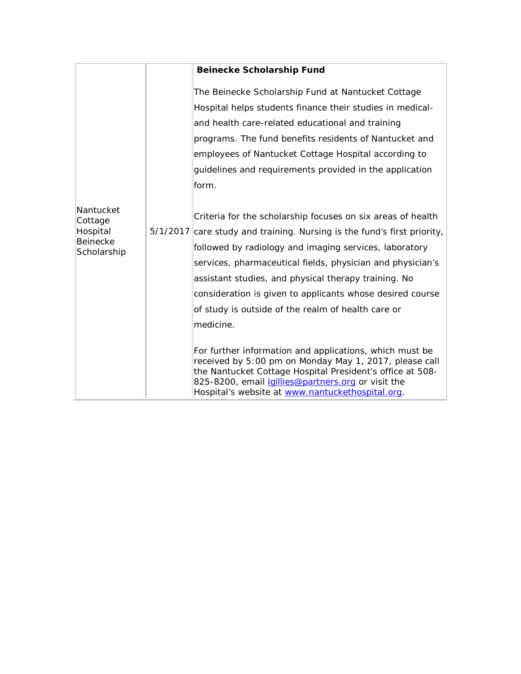|                                                             |  | <b>Beinecke Scholarship Fund</b>                                                                                                                                                                                                                                                                                                                                                                                                                       |
|-------------------------------------------------------------|--|--------------------------------------------------------------------------------------------------------------------------------------------------------------------------------------------------------------------------------------------------------------------------------------------------------------------------------------------------------------------------------------------------------------------------------------------------------|
| Nantucket<br>Cottage<br>Hospital<br>Beinecke<br>Scholarship |  | The Beinecke Scholarship Fund at Nantucket Cottage<br>Hospital helps students finance their studies in medical-<br>and health care-related educational and training<br>programs. The fund benefits residents of Nantucket and<br>employees of Nantucket Cottage Hospital according to<br>guidelines and requirements provided in the application<br>form.                                                                                              |
|                                                             |  | Criteria for the scholarship focuses on six areas of health<br>5/1/2017 care study and training. Nursing is the fund's first priority,<br>followed by radiology and imaging services, laboratory<br>services, pharmaceutical fields, physician and physician's<br>assistant studies, and physical therapy training. No<br>consideration is given to applicants whose desired course<br>of study is outside of the realm of health care or<br>medicine. |
|                                                             |  | For further information and applications, which must be<br>received by 5:00 pm on Monday May 1, 2017, please call<br>the Nantucket Cottage Hospital President's office at 508-<br>825-8200, email <i>Igillies@partners.org</i> or visit the<br>Hospital's website at www.nantuckethospital.org.                                                                                                                                                        |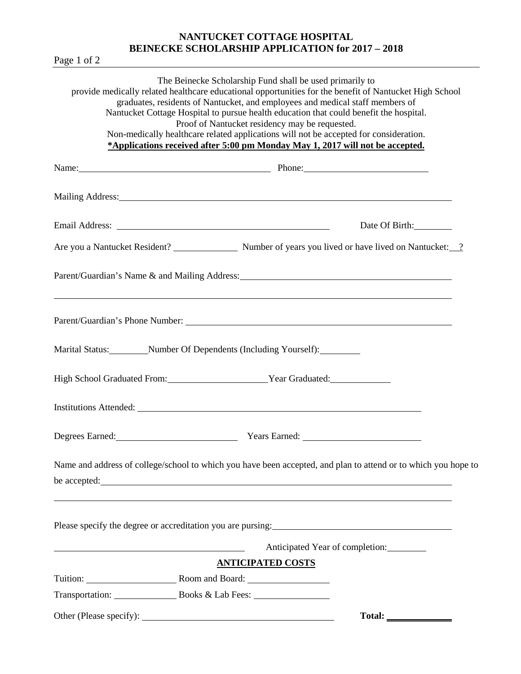## **NANTUCKET COTTAGE HOSPITAL BEINECKE SCHOLARSHIP APPLICATION for 2017 – 2018**

Page 1 of 2

|                          | The Beinecke Scholarship Fund shall be used primarily to<br>provide medically related healthcare educational opportunities for the benefit of Nantucket High School<br>graduates, residents of Nantucket, and employees and medical staff members of<br>Nantucket Cottage Hospital to pursue health education that could benefit the hospital.<br>Proof of Nantucket residency may be requested.<br>Non-medically healthcare related applications will not be accepted for consideration.<br>*Applications received after 5:00 pm Monday May 1, 2017 will not be accepted. |                                                                                                                                                                                                                                                                                                                                                                                                                                                                                                                   |
|--------------------------|----------------------------------------------------------------------------------------------------------------------------------------------------------------------------------------------------------------------------------------------------------------------------------------------------------------------------------------------------------------------------------------------------------------------------------------------------------------------------------------------------------------------------------------------------------------------------|-------------------------------------------------------------------------------------------------------------------------------------------------------------------------------------------------------------------------------------------------------------------------------------------------------------------------------------------------------------------------------------------------------------------------------------------------------------------------------------------------------------------|
|                          | Name: <u>Name:</u> Phone: Phone: Phone: Phone: Phone: Phone: Phone: Phone: Phone: Phone: Phone: Phone: Phone: Phone: Phone: Phone: Phone: Phone: Phone: Phone: Phone: Phone: Phone: Phone: Phone: Phone: Phone: Phone: Phone: Phone                                                                                                                                                                                                                                                                                                                                        |                                                                                                                                                                                                                                                                                                                                                                                                                                                                                                                   |
|                          |                                                                                                                                                                                                                                                                                                                                                                                                                                                                                                                                                                            |                                                                                                                                                                                                                                                                                                                                                                                                                                                                                                                   |
|                          |                                                                                                                                                                                                                                                                                                                                                                                                                                                                                                                                                                            | Date Of Birth:                                                                                                                                                                                                                                                                                                                                                                                                                                                                                                    |
|                          | Are you a Nantucket Resident? Number of years you lived or have lived on Nantucket: ?                                                                                                                                                                                                                                                                                                                                                                                                                                                                                      |                                                                                                                                                                                                                                                                                                                                                                                                                                                                                                                   |
|                          |                                                                                                                                                                                                                                                                                                                                                                                                                                                                                                                                                                            |                                                                                                                                                                                                                                                                                                                                                                                                                                                                                                                   |
|                          |                                                                                                                                                                                                                                                                                                                                                                                                                                                                                                                                                                            |                                                                                                                                                                                                                                                                                                                                                                                                                                                                                                                   |
|                          | Marital Status: Number Of Dependents (Including Yourself): Number Of Dependents (Including Yourself):                                                                                                                                                                                                                                                                                                                                                                                                                                                                      |                                                                                                                                                                                                                                                                                                                                                                                                                                                                                                                   |
|                          | High School Graduated From: Vear Graduated: Vear Graduated:                                                                                                                                                                                                                                                                                                                                                                                                                                                                                                                |                                                                                                                                                                                                                                                                                                                                                                                                                                                                                                                   |
|                          |                                                                                                                                                                                                                                                                                                                                                                                                                                                                                                                                                                            |                                                                                                                                                                                                                                                                                                                                                                                                                                                                                                                   |
|                          | Degrees Earned: Vears Earned: Vears Earned:                                                                                                                                                                                                                                                                                                                                                                                                                                                                                                                                |                                                                                                                                                                                                                                                                                                                                                                                                                                                                                                                   |
|                          | Name and address of college/school to which you have been accepted, and plan to attend or to which you hope to<br>be accepted:                                                                                                                                                                                                                                                                                                                                                                                                                                             |                                                                                                                                                                                                                                                                                                                                                                                                                                                                                                                   |
|                          |                                                                                                                                                                                                                                                                                                                                                                                                                                                                                                                                                                            |                                                                                                                                                                                                                                                                                                                                                                                                                                                                                                                   |
|                          | Anticipated Year of completion:                                                                                                                                                                                                                                                                                                                                                                                                                                                                                                                                            |                                                                                                                                                                                                                                                                                                                                                                                                                                                                                                                   |
| Tuition: Room and Board: | <b>ANTICIPATED COSTS</b>                                                                                                                                                                                                                                                                                                                                                                                                                                                                                                                                                   |                                                                                                                                                                                                                                                                                                                                                                                                                                                                                                                   |
|                          |                                                                                                                                                                                                                                                                                                                                                                                                                                                                                                                                                                            |                                                                                                                                                                                                                                                                                                                                                                                                                                                                                                                   |
|                          |                                                                                                                                                                                                                                                                                                                                                                                                                                                                                                                                                                            | $\text{Total:}\n \qquad \qquad \text{---}\n \qquad \qquad \text{---}\n \qquad \qquad \text{---}\n \qquad \qquad \text{---}\n \qquad \qquad \text{---}\n \qquad \qquad \text{---}\n \qquad \qquad \text{---}\n \qquad \qquad \text{---}\n \qquad \qquad \text{---}\n \qquad \qquad \text{---}\n \qquad \qquad \text{---}\n \qquad \qquad \text{---}\n \qquad \qquad \text{---}\n \qquad \qquad \text{---}\n \qquad \qquad \text{---}\n \qquad \qquad \text{---}\n \qquad \qquad \text{---}\n \qquad \qquad \text{$ |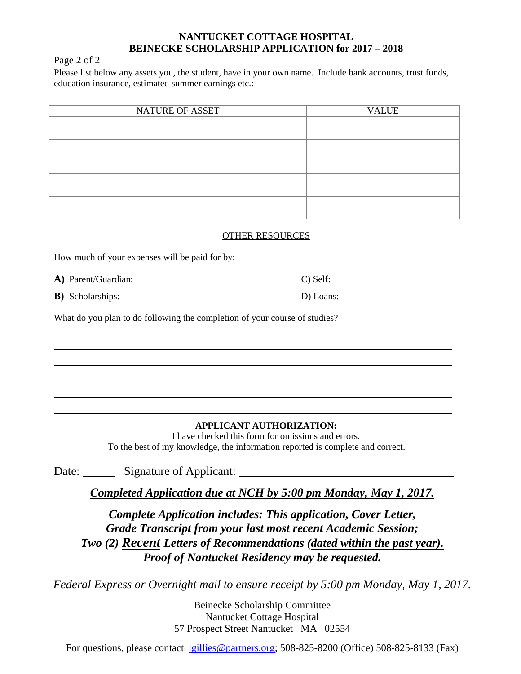## **NANTUCKET COTTAGE HOSPITAL BEINECKE SCHOLARSHIP APPLICATION for 2017 – 2018**

#### Page 2 of 2

Please list below any assets you, the student, have in your own name. Include bank accounts, trust funds, education insurance, estimated summer earnings etc.:

| NATURE OF ASSET | <b>VALUE</b> |
|-----------------|--------------|
|                 |              |
|                 |              |
|                 |              |
|                 |              |
|                 |              |
|                 |              |
|                 |              |
|                 |              |
|                 |              |

#### OTHER RESOURCES

How much of your expenses will be paid for by:

A) Parent/Guardian: C) Self:

**B**) Scholarships: <u>D</u>) Loans:

What do you plan to do following the completion of your course of studies?

## **APPLICANT AUTHORIZATION:**

I have checked this form for omissions and errors. To the best of my knowledge, the information reported is complete and correct.

Date: Signature of Applicant:

*Completed Application due at NCH by 5:00 pm Monday, May 1, 2017.*

*Complete Application includes: This application, Cover Letter, Grade Transcript from your last most recent Academic Session; Two (2) Recent Letters of Recommendations (dated within the past year). Proof of Nantucket Residency may be requested.*

*Federal Express or Overnight mail to ensure receipt by 5:00 pm Monday, May 1, 2017.* 

Beinecke Scholarship Committee Nantucket Cottage Hospital 57 Prospect Street Nantucket MA 02554

For questions, please contact: [lgillies@partners.org;](mailto:lgillies@partners.org) 508-825-8200 (Office) 508-825-8133 (Fax)